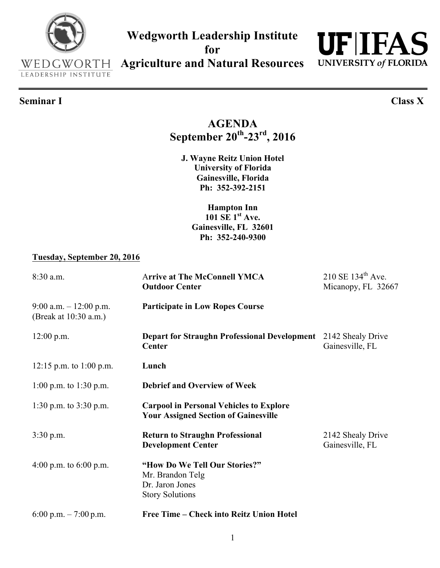### **Wedgworth Leadership Institute for**

**Agriculture and Natural Resources**

## **Seminar I Class X**

## **AGENDA September 20th-23rd, 2016**

**J. Wayne Reitz Union Hotel University of Florida Gainesville, Florida Ph: 352-392-2151** 

**Hampton Inn 101 SE 1st Ave. Gainesville, FL 32601 Ph: 352-240-9300**

#### **Tuesday, September 20, 2016**

| 8:30 a.m.                                        | <b>Arrive at The McConnell YMCA</b><br><b>Outdoor Center</b>                                   | $210 \text{ SE } 134^{\text{th}}$ Ave.<br>Micanopy, FL 32667 |
|--------------------------------------------------|------------------------------------------------------------------------------------------------|--------------------------------------------------------------|
| 9:00 a.m. $-12:00$ p.m.<br>(Break at 10:30 a.m.) | <b>Participate in Low Ropes Course</b>                                                         |                                                              |
| $12:00$ p.m.                                     | <b>Depart for Straughn Professional Development</b><br><b>Center</b>                           | 2142 Shealy Drive<br>Gainesville, FL                         |
| 12:15 p.m. to 1:00 p.m.                          | Lunch                                                                                          |                                                              |
| 1:00 p.m. to 1:30 p.m.                           | <b>Debrief and Overview of Week</b>                                                            |                                                              |
| 1:30 p.m. to $3:30$ p.m.                         | <b>Carpool in Personal Vehicles to Explore</b><br><b>Your Assigned Section of Gainesville</b>  |                                                              |
| $3:30$ p.m.                                      | <b>Return to Straughn Professional</b><br><b>Development Center</b>                            | 2142 Shealy Drive<br>Gainesville, FL                         |
| 4:00 p.m. to $6:00$ p.m.                         | "How Do We Tell Our Stories?"<br>Mr. Brandon Telg<br>Dr. Jaron Jones<br><b>Story Solutions</b> |                                                              |
| 6:00 p.m. $-7:00$ p.m.                           | Free Time - Check into Reitz Union Hotel                                                       |                                                              |



LEADERSHIP INSTITUTE

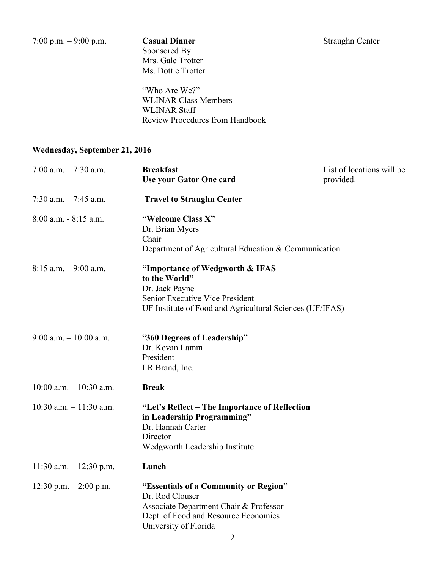Sponsored By: Mrs. Gale Trotter Ms. Dottie Trotter

"Who Are We?" WLINAR Class Members WLINAR Staff Review Procedures from Handbook

#### **Wednesday, September 21, 2016**

| 7:00 a.m. $-7:30$ a.m.     | <b>Breakfast</b><br><b>Use your Gator One card</b>                                                                                                                       | List of locations will be<br>provided. |
|----------------------------|--------------------------------------------------------------------------------------------------------------------------------------------------------------------------|----------------------------------------|
| 7:30 a.m. $-7:45$ a.m.     | <b>Travel to Straughn Center</b>                                                                                                                                         |                                        |
| $8:00$ a.m. $-8:15$ a.m.   | "Welcome Class X"<br>Dr. Brian Myers<br>Chair<br>Department of Agricultural Education & Communication                                                                    |                                        |
| $8:15$ a.m. $-9:00$ a.m.   | "Importance of Wedgworth & IFAS<br>to the World"<br>Dr. Jack Payne<br>Senior Executive Vice President<br>UF Institute of Food and Agricultural Sciences (UF/IFAS)        |                                        |
| 9:00 a.m. $-10:00$ a.m.    | "360 Degrees of Leadership"<br>Dr. Kevan Lamm<br>President<br>LR Brand, Inc.                                                                                             |                                        |
| $10:00$ a.m. $-10:30$ a.m. | <b>Break</b>                                                                                                                                                             |                                        |
| $10:30$ a.m. $-11:30$ a.m. | "Let's Reflect - The Importance of Reflection<br>in Leadership Programming"<br>Dr. Hannah Carter<br>Director<br>Wedgworth Leadership Institute                           |                                        |
| $11:30$ a.m. $-12:30$ p.m. | Lunch                                                                                                                                                                    |                                        |
| $12:30$ p.m. $-2:00$ p.m.  | "Essentials of a Community or Region"<br>Dr. Rod Clouser<br>Associate Department Chair & Professor<br>Dept. of Food and Resource Economics<br>University of Florida<br>2 |                                        |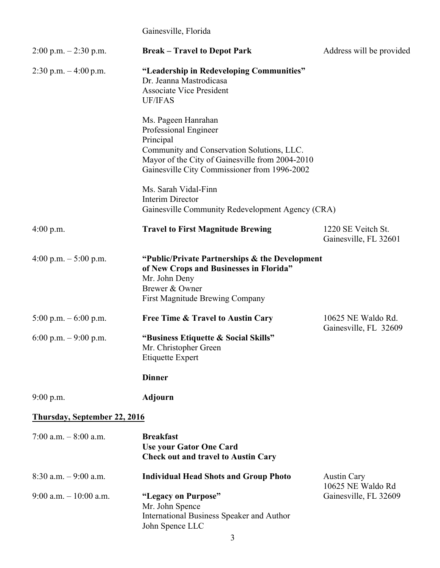### Gainesville, Florida

| $2:00$ p.m. $-2:30$ p.m.     | <b>Break – Travel to Depot Park</b>                                                                                                                                                                        | Address will be provided                    |
|------------------------------|------------------------------------------------------------------------------------------------------------------------------------------------------------------------------------------------------------|---------------------------------------------|
| 2:30 p.m. $-4:00$ p.m.       | "Leadership in Redeveloping Communities"<br>Dr. Jeanna Mastrodicasa<br><b>Associate Vice President</b><br><b>UF/IFAS</b>                                                                                   |                                             |
|                              | Ms. Pageen Hanrahan<br>Professional Engineer<br>Principal<br>Community and Conservation Solutions, LLC.<br>Mayor of the City of Gainesville from 2004-2010<br>Gainesville City Commissioner from 1996-2002 |                                             |
|                              | Ms. Sarah Vidal-Finn<br>Interim Director<br>Gainesville Community Redevelopment Agency (CRA)                                                                                                               |                                             |
| $4:00$ p.m.                  | <b>Travel to First Magnitude Brewing</b>                                                                                                                                                                   | 1220 SE Veitch St.<br>Gainesville, FL 32601 |
| 4:00 p.m. $-5:00$ p.m.       | "Public/Private Partnerships & the Development<br>of New Crops and Businesses in Florida"<br>Mr. John Deny<br>Brewer & Owner<br>First Magnitude Brewing Company                                            |                                             |
| 5:00 p.m. $-6:00$ p.m.       | <b>Free Time &amp; Travel to Austin Cary</b>                                                                                                                                                               | 10625 NE Waldo Rd.                          |
| 6:00 p.m. $-9:00$ p.m.       | "Business Etiquette & Social Skills"<br>Mr. Christopher Green<br><b>Etiquette Expert</b>                                                                                                                   | Gainesville, FL 32609                       |
|                              | <b>Dinner</b>                                                                                                                                                                                              |                                             |
| 9:00 p.m.                    | <b>Adjourn</b>                                                                                                                                                                                             |                                             |
| Thursday, September 22, 2016 |                                                                                                                                                                                                            |                                             |
| 7:00 a.m. $-8:00$ a.m.       | <b>Breakfast</b><br><b>Use your Gator One Card</b><br><b>Check out and travel to Austin Cary</b>                                                                                                           |                                             |
| $8:30$ a.m. $-9:00$ a.m.     | <b>Individual Head Shots and Group Photo</b>                                                                                                                                                               | <b>Austin Cary</b><br>10625 NE Waldo Rd     |
| $9:00$ a.m. $-10:00$ a.m.    | "Legacy on Purpose"<br>Mr. John Spence<br>International Business Speaker and Author<br>John Spence LLC                                                                                                     | Gainesville, FL 32609                       |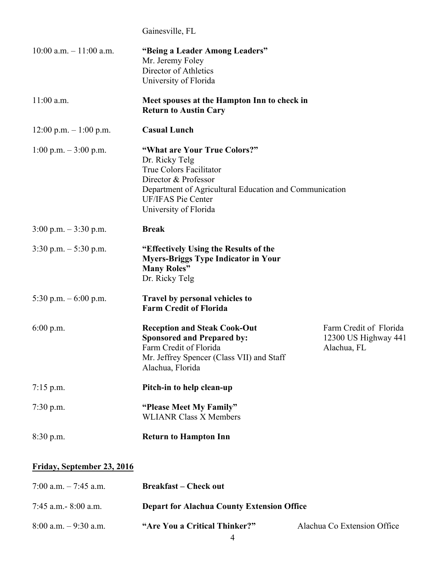Gainesville, FL

| $10:00$ a.m. $-11:00$ a.m.               | "Being a Leader Among Leaders"<br>Mr. Jeremy Foley<br>Director of Athletics<br>University of Florida                                                                                                              |                                                               |
|------------------------------------------|-------------------------------------------------------------------------------------------------------------------------------------------------------------------------------------------------------------------|---------------------------------------------------------------|
| $11:00$ a.m.                             | Meet spouses at the Hampton Inn to check in<br><b>Return to Austin Cary</b>                                                                                                                                       |                                                               |
| $12:00 \text{ p.m.} - 1:00 \text{ p.m.}$ | <b>Casual Lunch</b>                                                                                                                                                                                               |                                                               |
| $1:00$ p.m. $-3:00$ p.m.                 | "What are Your True Colors?"<br>Dr. Ricky Telg<br>True Colors Facilitator<br>Director & Professor<br>Department of Agricultural Education and Communication<br><b>UF/IFAS Pie Center</b><br>University of Florida |                                                               |
| $3:00 \text{ p.m.} - 3:30 \text{ p.m.}$  | <b>Break</b>                                                                                                                                                                                                      |                                                               |
| $3:30$ p.m. $-5:30$ p.m.                 | "Effectively Using the Results of the<br><b>Myers-Briggs Type Indicator in Your</b><br><b>Many Roles</b> "<br>Dr. Ricky Telg                                                                                      |                                                               |
| 5:30 p.m. $-6:00$ p.m.                   | Travel by personal vehicles to<br><b>Farm Credit of Florida</b>                                                                                                                                                   |                                                               |
| 6:00 p.m.                                | <b>Reception and Steak Cook-Out</b><br><b>Sponsored and Prepared by:</b><br>Farm Credit of Florida<br>Mr. Jeffrey Spencer (Class VII) and Staff<br>Alachua, Florida                                               | Farm Credit of Florida<br>12300 US Highway 441<br>Alachua, FL |
| $7:15$ p.m.                              | Pitch-in to help clean-up                                                                                                                                                                                         |                                                               |
| $7:30$ p.m.                              | "Please Meet My Family"<br><b>WLIANR Class X Members</b>                                                                                                                                                          |                                                               |
| 8:30 p.m.                                | <b>Return to Hampton Inn</b>                                                                                                                                                                                      |                                                               |

### **Friday, September 23, 2016**

| $7:00$ a.m. $-7:45$ a.m. | <b>Breakfast – Check out</b>                      |                             |
|--------------------------|---------------------------------------------------|-----------------------------|
| 7:45 a.m. $-$ 8:00 a.m.  | <b>Depart for Alachua County Extension Office</b> |                             |
| $8:00$ a.m. $-9:30$ a.m. | "Are You a Critical Thinker?"                     | Alachua Co Extension Office |